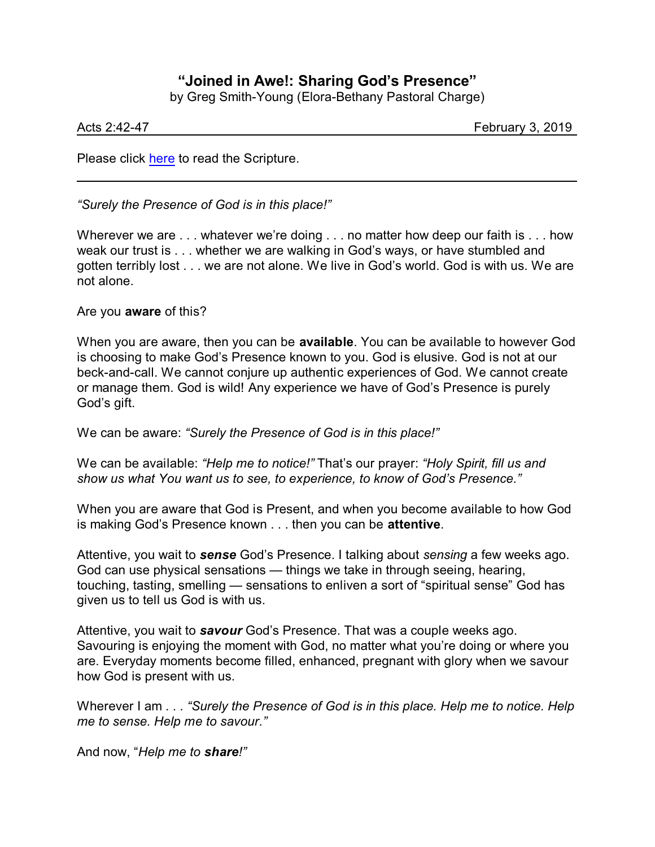## **"Joined in Awe!: Sharing God's Presence"**

by Greg Smith-Young (Elora-Bethany Pastoral Charge)

Acts 2:42-47 February 3, 2019

Please click [here](https://www.biblegateway.com/passage/?search=Acts+2%3A42-47&version=CEB) to read the Scripture.

*"Surely the Presence of God is in this place!"*

Wherever we are . . . whatever we're doing . . . no matter how deep our faith is . . . how weak our trust is . . . whether we are walking in God's ways, or have stumbled and gotten terribly lost . . . we are not alone. We live in God's world. God is with us. We are not alone.

Are you **aware** of this?

When you are aware, then you can be **available**. You can be available to however God is choosing to make God's Presence known to you. God is elusive. God is not at our beck-and-call. We cannot conjure up authentic experiences of God. We cannot create or manage them. God is wild! Any experience we have of God's Presence is purely God's gift.

We can be aware: *"Surely the Presence of God is in this place!"*

We can be available: *"Help me to notice!"* That's our prayer: *"Holy Spirit, fill us and show us what You want us to see, to experience, to know of God's Presence."*

When you are aware that God is Present, and when you become available to how God is making God's Presence known . . . then you can be **attentive**.

Attentive, you wait to *sense* God's Presence. I talking about *sensing* a few weeks ago. God can use physical sensations — things we take in through seeing, hearing, touching, tasting, smelling — sensations to enliven a sort of "spiritual sense" God has given us to tell us God is with us.

Attentive, you wait to *savour* God's Presence. That was a couple weeks ago. Savouring is enjoying the moment with God, no matter what you're doing or where you are. Everyday moments become filled, enhanced, pregnant with glory when we savour how God is present with us.

Wherever I am . . . *"Surely the Presence of God is in this place. Help me to notice. Help me to sense. Help me to savour."*

And now, "*Help me to share!"*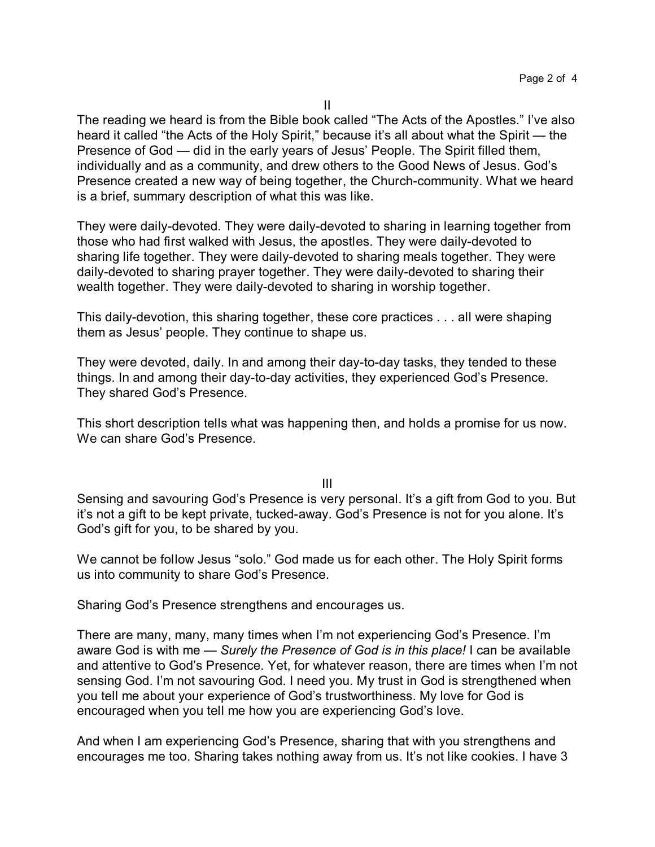The reading we heard is from the Bible book called "The Acts of the Apostles." I've also heard it called "the Acts of the Holy Spirit," because it's all about what the Spirit — the Presence of God — did in the early years of Jesus' People. The Spirit filled them, individually and as a community, and drew others to the Good News of Jesus. God's Presence created a new way of being together, the Church-community. What we heard is a brief, summary description of what this was like.

They were daily-devoted. They were daily-devoted to sharing in learning together from those who had first walked with Jesus, the apostles. They were daily-devoted to sharing life together. They were daily-devoted to sharing meals together. They were daily-devoted to sharing prayer together. They were daily-devoted to sharing their wealth together. They were daily-devoted to sharing in worship together.

This daily-devotion, this sharing together, these core practices . . . all were shaping them as Jesus' people. They continue to shape us.

They were devoted, daily. In and among their day-to-day tasks, they tended to these things. In and among their day-to-day activities, they experienced God's Presence. They shared God's Presence.

This short description tells what was happening then, and holds a promise for us now. We can share God's Presence.

III

Sensing and savouring God's Presence is very personal. It's a gift from God to you. But it's not a gift to be kept private, tucked-away. God's Presence is not for you alone. It's God's gift for you, to be shared by you.

We cannot be follow Jesus "solo." God made us for each other. The Holy Spirit forms us into community to share God's Presence.

Sharing God's Presence strengthens and encourages us.

There are many, many, many times when I'm not experiencing God's Presence. I'm aware God is with me — *Surely the Presence of God is in this place!* I can be available and attentive to God's Presence. Yet, for whatever reason, there are times when I'm not sensing God. I'm not savouring God. I need you. My trust in God is strengthened when you tell me about your experience of God's trustworthiness. My love for God is encouraged when you tell me how you are experiencing God's love.

And when I am experiencing God's Presence, sharing that with you strengthens and encourages me too. Sharing takes nothing away from us. It's not like cookies. I have 3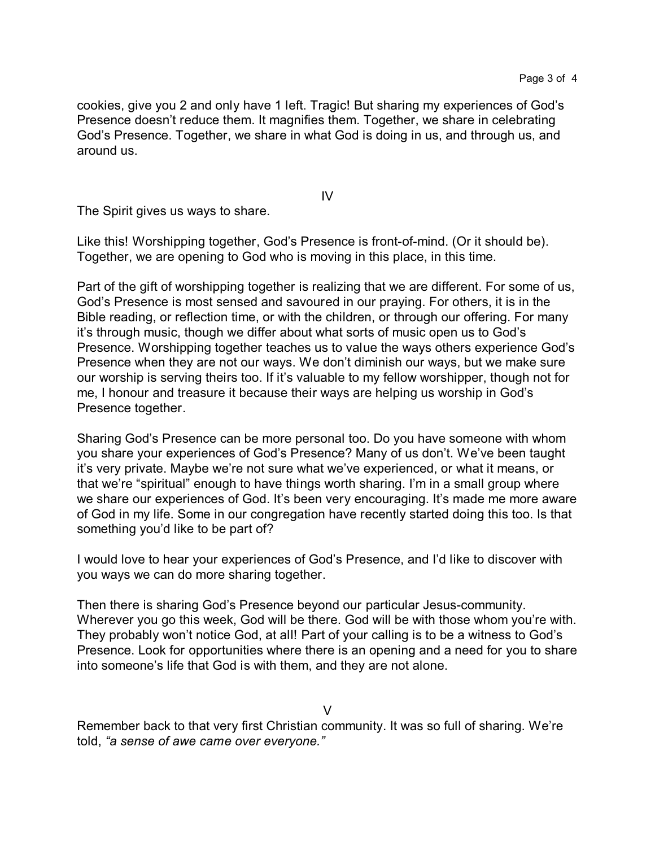cookies, give you 2 and only have 1 left. Tragic! But sharing my experiences of God's Presence doesn't reduce them. It magnifies them. Together, we share in celebrating God's Presence. Together, we share in what God is doing in us, and through us, and around us.

IV

The Spirit gives us ways to share.

Like this! Worshipping together, God's Presence is front-of-mind. (Or it should be). Together, we are opening to God who is moving in this place, in this time.

Part of the gift of worshipping together is realizing that we are different. For some of us, God's Presence is most sensed and savoured in our praying. For others, it is in the Bible reading, or reflection time, or with the children, or through our offering. For many it's through music, though we differ about what sorts of music open us to God's Presence. Worshipping together teaches us to value the ways others experience God's Presence when they are not our ways. We don't diminish our ways, but we make sure our worship is serving theirs too. If it's valuable to my fellow worshipper, though not for me, I honour and treasure it because their ways are helping us worship in God's Presence together.

Sharing God's Presence can be more personal too. Do you have someone with whom you share your experiences of God's Presence? Many of us don't. We've been taught it's very private. Maybe we're not sure what we've experienced, or what it means, or that we're "spiritual" enough to have things worth sharing. I'm in a small group where we share our experiences of God. It's been very encouraging. It's made me more aware of God in my life. Some in our congregation have recently started doing this too. Is that something you'd like to be part of?

I would love to hear your experiences of God's Presence, and I'd like to discover with you ways we can do more sharing together.

Then there is sharing God's Presence beyond our particular Jesus-community. Wherever you go this week, God will be there. God will be with those whom you're with. They probably won't notice God, at all! Part of your calling is to be a witness to God's Presence. Look for opportunities where there is an opening and a need for you to share into someone's life that God is with them, and they are not alone.

V

Remember back to that very first Christian community. It was so full of sharing. We're told, *"a sense of awe came over everyone."*